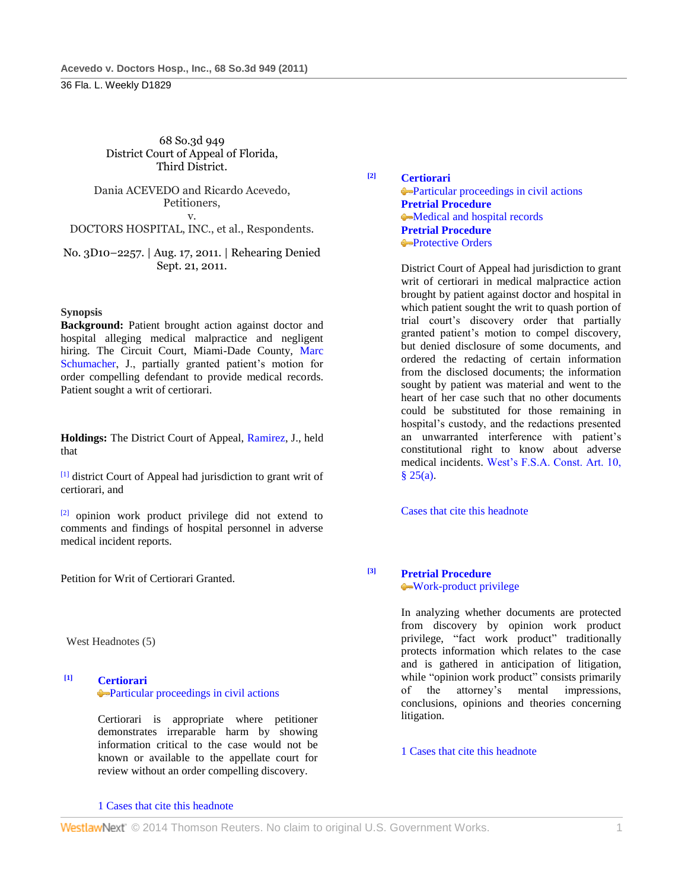#### 68 So.3d 949 District Court of Appeal of Florida, Third District.

Dania ACEVEDO and Ricardo Acevedo, Petitioners, v.

DOCTORS HOSPITAL, INC., et al., Respondents.

No. 3D10–2257. | Aug. 17, 2011. | Rehearing Denied Sept. 21, 2011.

#### **Synopsis**

**Background:** Patient brought action against doctor and hospital alleging medical malpractice and negligent hiring. The Circuit Court, Miami-Dade County, Marc [Schumacher,](http://www.westlaw.com/Link/Document/FullText?findType=h&pubNum=176284&cite=0206190201&originatingDoc=I6baa9b02c8df11e090e590fe1745b4c9&refType=RQ&originationContext=document&vr=3.0&rs=cblt1.0&transitionType=DocumentItem&contextData=(sc.Default)) J., partially granted patient's motion for order compelling defendant to provide medical records. Patient sought a writ of certiorari.

**Holdings:** The District Court of Appeal, [Ramirez,](http://www.westlaw.com/Link/Document/FullText?findType=h&pubNum=176284&cite=0153380901&originatingDoc=I6baa9b02c8df11e090e590fe1745b4c9&refType=RQ&originationContext=document&vr=3.0&rs=cblt1.0&transitionType=DocumentItem&contextData=(sc.Default)) J., held that

[1] district Court of Appeal had jurisdiction to grant writ of certiorari, and

[2] opinion work product privilege did not extend to comments and findings of hospital personnel in adverse medical incident reports.

Petition for Writ of Certiorari Granted.

West Headnotes (5)

**[1] [Certiorari](http://www.westlaw.com/Browse/Home/KeyNumber/73/View.html?docGuid=I6baa9b02c8df11e090e590fe1745b4c9&originationContext=document&vr=3.0&rs=cblt1.0&transitionType=DocumentItem&contextData=(sc.Default))** [Particular proceedings in civil actions](http://www.westlaw.com/Browse/Home/KeyNumber/73k17/View.html?docGuid=I6baa9b02c8df11e090e590fe1745b4c9&originationContext=document&vr=3.0&rs=cblt1.0&transitionType=DocumentItem&contextData=(sc.Default))

> Certiorari is appropriate where petitioner demonstrates irreparable harm by showing information critical to the case would not be known or available to the appellate court for review without an order compelling discovery.

#### [1 Cases that cite this headnote](http://www.westlaw.com/Link/RelatedInformation/DocHeadnoteLink?docGuid=I6baa9b02c8df11e090e590fe1745b4c9&headnoteId=202588165500120111118203753&originationContext=document&vr=3.0&rs=cblt1.0&transitionType=CitingReferences&contextData=(sc.Default))

**[2] [Certiorari](http://www.westlaw.com/Browse/Home/KeyNumber/73/View.html?docGuid=I6baa9b02c8df11e090e590fe1745b4c9&originationContext=document&vr=3.0&rs=cblt1.0&transitionType=DocumentItem&contextData=(sc.Default))** [Particular proceedings in civil actions](http://www.westlaw.com/Browse/Home/KeyNumber/73k17/View.html?docGuid=I6baa9b02c8df11e090e590fe1745b4c9&originationContext=document&vr=3.0&rs=cblt1.0&transitionType=DocumentItem&contextData=(sc.Default)) **[Pretrial Procedure](http://www.westlaw.com/Browse/Home/KeyNumber/307A/View.html?docGuid=I6baa9b02c8df11e090e590fe1745b4c9&originationContext=document&vr=3.0&rs=cblt1.0&transitionType=DocumentItem&contextData=(sc.Default))** [Medical and hospital records](http://www.westlaw.com/Browse/Home/KeyNumber/307Ak382/View.html?docGuid=I6baa9b02c8df11e090e590fe1745b4c9&originationContext=document&vr=3.0&rs=cblt1.0&transitionType=DocumentItem&contextData=(sc.Default)) **[Pretrial Procedure](http://www.westlaw.com/Browse/Home/KeyNumber/307A/View.html?docGuid=I6baa9b02c8df11e090e590fe1745b4c9&originationContext=document&vr=3.0&rs=cblt1.0&transitionType=DocumentItem&contextData=(sc.Default)) [Protective Orders](http://www.westlaw.com/Browse/Home/KeyNumber/307Ak413/View.html?docGuid=I6baa9b02c8df11e090e590fe1745b4c9&originationContext=document&vr=3.0&rs=cblt1.0&transitionType=DocumentItem&contextData=(sc.Default))** 

> District Court of Appeal had jurisdiction to grant writ of certiorari in medical malpractice action brought by patient against doctor and hospital in which patient sought the writ to quash portion of trial court's discovery order that partially granted patient's motion to compel discovery, but denied disclosure of some documents, and ordered the redacting of certain information from the disclosed documents; the information sought by patient was material and went to the heart of her case such that no other documents could be substituted for those remaining in hospital's custody, and the redactions presented an unwarranted interference with patient's constitutional right to know about adverse medical incidents. [West's F.S.A. Const. Art. 10,](http://www.westlaw.com/Link/Document/FullText?findType=L&pubNum=1000006&cite=FLCNART10S25&originatingDoc=I6baa9b02c8df11e090e590fe1745b4c9&refType=LQ&originationContext=document&vr=3.0&rs=cblt1.0&transitionType=DocumentItem&contextData=(sc.Default))   $§ 25(a).$

[Cases that cite this headnote](http://www.westlaw.com/Link/RelatedInformation/DocHeadnoteLink?docGuid=I6baa9b02c8df11e090e590fe1745b4c9&headnoteId=202588165500220111118203753&originationContext=document&vr=3.0&rs=cblt1.0&transitionType=CitingReferences&contextData=(sc.Default))

# **[3] [Pretrial Procedure](http://www.westlaw.com/Browse/Home/KeyNumber/307A/View.html?docGuid=I6baa9b02c8df11e090e590fe1745b4c9&originationContext=document&vr=3.0&rs=cblt1.0&transitionType=DocumentItem&contextData=(sc.Default))**

[Work-product privilege](http://www.westlaw.com/Browse/Home/KeyNumber/307Ak35/View.html?docGuid=I6baa9b02c8df11e090e590fe1745b4c9&originationContext=document&vr=3.0&rs=cblt1.0&transitionType=DocumentItem&contextData=(sc.Default))

In analyzing whether documents are protected from discovery by opinion work product privilege, "fact work product" traditionally protects information which relates to the case and is gathered in anticipation of litigation, while "opinion work product" consists primarily of the attorney's mental impressions, conclusions, opinions and theories concerning litigation.

1 Cases that [cite this headnote](http://www.westlaw.com/Link/RelatedInformation/DocHeadnoteLink?docGuid=I6baa9b02c8df11e090e590fe1745b4c9&headnoteId=202588165500320111118203753&originationContext=document&vr=3.0&rs=cblt1.0&transitionType=CitingReferences&contextData=(sc.Default))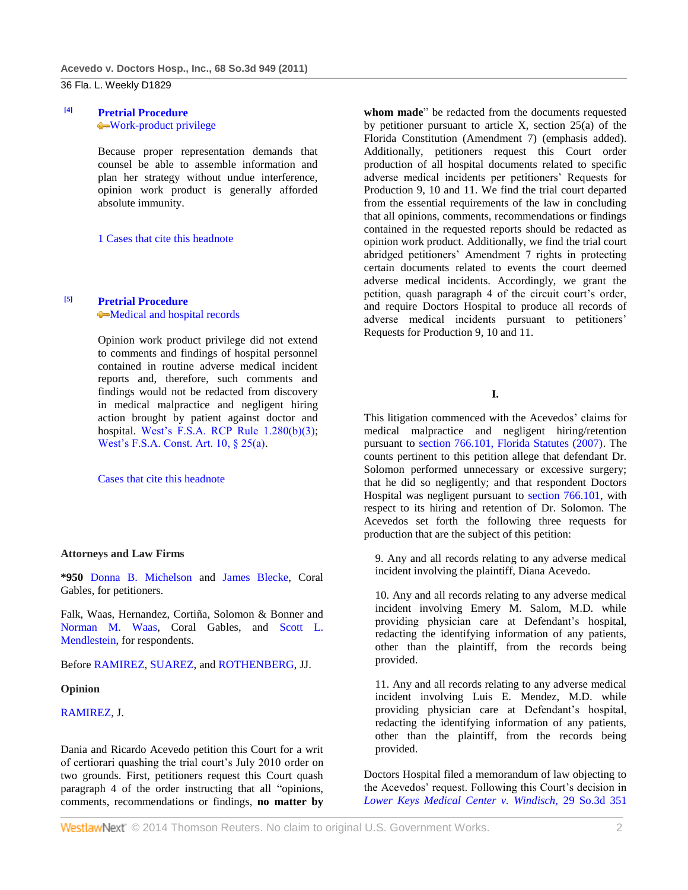## **[4] [Pretrial Procedure](http://www.westlaw.com/Browse/Home/KeyNumber/307A/View.html?docGuid=I6baa9b02c8df11e090e590fe1745b4c9&originationContext=document&vr=3.0&rs=cblt1.0&transitionType=DocumentItem&contextData=(sc.Default))** [Work-product privilege](http://www.westlaw.com/Browse/Home/KeyNumber/307Ak35/View.html?docGuid=I6baa9b02c8df11e090e590fe1745b4c9&originationContext=document&vr=3.0&rs=cblt1.0&transitionType=DocumentItem&contextData=(sc.Default))

Because proper representation demands that counsel be able to assemble information and plan her strategy without undue interference, opinion work product is generally afforded absolute immunity.

[1 Cases that cite this headnote](http://www.westlaw.com/Link/RelatedInformation/DocHeadnoteLink?docGuid=I6baa9b02c8df11e090e590fe1745b4c9&headnoteId=202588165500420111118203753&originationContext=document&vr=3.0&rs=cblt1.0&transitionType=CitingReferences&contextData=(sc.Default))

# **[5] [Pretrial Procedure](http://www.westlaw.com/Browse/Home/KeyNumber/307A/View.html?docGuid=I6baa9b02c8df11e090e590fe1745b4c9&originationContext=document&vr=3.0&rs=cblt1.0&transitionType=DocumentItem&contextData=(sc.Default))**

[Medical and hospital records](http://www.westlaw.com/Browse/Home/KeyNumber/307Ak382/View.html?docGuid=I6baa9b02c8df11e090e590fe1745b4c9&originationContext=document&vr=3.0&rs=cblt1.0&transitionType=DocumentItem&contextData=(sc.Default))

Opinion work product privilege did not extend to comments and findings of hospital personnel contained in routine adverse medical incident reports and, therefore, such comments and findings would not be redacted from discovery in medical malpractice and negligent hiring action brought by patient against doctor and hospital. [West's F.S.A. RCP Rule 1.280\(b\)\(3\);](http://www.westlaw.com/Link/Document/FullText?findType=L&pubNum=1000006&cite=FLSTRCPR1.280&originatingDoc=I6baa9b02c8df11e090e590fe1745b4c9&refType=LQ&originationContext=document&vr=3.0&rs=cblt1.0&transitionType=DocumentItem&contextData=(sc.Default)) [West's F.S.A. Const. Art. 10, § 25\(a\).](http://www.westlaw.com/Link/Document/FullText?findType=L&pubNum=1000006&cite=FLCNART10S25&originatingDoc=I6baa9b02c8df11e090e590fe1745b4c9&refType=LQ&originationContext=document&vr=3.0&rs=cblt1.0&transitionType=DocumentItem&contextData=(sc.Default))

[Cases that cite this headnote](http://www.westlaw.com/Link/RelatedInformation/DocHeadnoteLink?docGuid=I6baa9b02c8df11e090e590fe1745b4c9&headnoteId=202588165500520111118203753&originationContext=document&vr=3.0&rs=cblt1.0&transitionType=CitingReferences&contextData=(sc.Default))

#### **Attorneys and Law Firms**

**\*950** [Donna B. Michelson](http://www.westlaw.com/Link/Document/FullText?findType=h&pubNum=176284&cite=0176832001&originatingDoc=I6baa9b02c8df11e090e590fe1745b4c9&refType=RQ&originationContext=document&vr=3.0&rs=cblt1.0&transitionType=DocumentItem&contextData=(sc.Default)) and [James Blecke,](http://www.westlaw.com/Link/Document/FullText?findType=h&pubNum=176284&cite=0206104601&originatingDoc=I6baa9b02c8df11e090e590fe1745b4c9&refType=RQ&originationContext=document&vr=3.0&rs=cblt1.0&transitionType=DocumentItem&contextData=(sc.Default)) Coral Gables, for petitioners.

Falk, Waas, Hernandez, Cortiña, Solomon & Bonner and [Norman M. Waas,](http://www.westlaw.com/Link/Document/FullText?findType=h&pubNum=176284&cite=0119640801&originatingDoc=I6baa9b02c8df11e090e590fe1745b4c9&refType=RQ&originationContext=document&vr=3.0&rs=cblt1.0&transitionType=DocumentItem&contextData=(sc.Default)) Coral Gables, and [Scott L.](http://www.westlaw.com/Link/Document/FullText?findType=h&pubNum=176284&cite=0415956601&originatingDoc=I6baa9b02c8df11e090e590fe1745b4c9&refType=RQ&originationContext=document&vr=3.0&rs=cblt1.0&transitionType=DocumentItem&contextData=(sc.Default))  [Mendlestein,](http://www.westlaw.com/Link/Document/FullText?findType=h&pubNum=176284&cite=0415956601&originatingDoc=I6baa9b02c8df11e090e590fe1745b4c9&refType=RQ&originationContext=document&vr=3.0&rs=cblt1.0&transitionType=DocumentItem&contextData=(sc.Default)) for respondents.

#### Befor[e RAMIREZ,](http://www.westlaw.com/Link/Document/FullText?findType=h&pubNum=176284&cite=0153380901&originatingDoc=I6baa9b02c8df11e090e590fe1745b4c9&refType=RQ&originationContext=document&vr=3.0&rs=cblt1.0&transitionType=DocumentItem&contextData=(sc.Default)) [SUAREZ,](http://www.westlaw.com/Link/Document/FullText?findType=h&pubNum=176284&cite=0127340801&originatingDoc=I6baa9b02c8df11e090e590fe1745b4c9&refType=RQ&originationContext=document&vr=3.0&rs=cblt1.0&transitionType=DocumentItem&contextData=(sc.Default)) and [ROTHENBERG,](http://www.westlaw.com/Link/Document/FullText?findType=h&pubNum=176284&cite=0100953201&originatingDoc=I6baa9b02c8df11e090e590fe1745b4c9&refType=RQ&originationContext=document&vr=3.0&rs=cblt1.0&transitionType=DocumentItem&contextData=(sc.Default)) JJ.

#### **Opinion**

## [RAMIREZ,](http://www.westlaw.com/Link/Document/FullText?findType=h&pubNum=176284&cite=0153380901&originatingDoc=I6baa9b02c8df11e090e590fe1745b4c9&refType=RQ&originationContext=document&vr=3.0&rs=cblt1.0&transitionType=DocumentItem&contextData=(sc.Default)) J.

Dania and Ricardo Acevedo petition this Court for a writ of certiorari quashing the trial court's July 2010 order on two grounds. First, petitioners request this Court quash paragraph 4 of the order instructing that all "opinions, comments, recommendations or findings, **no matter by** 

**whom made**" be redacted from the documents requested by petitioner pursuant to article X, section  $25(a)$  of the Florida Constitution (Amendment 7) (emphasis added). Additionally, petitioners request this Court order production of all hospital documents related to specific adverse medical incidents per petitioners' Requests for Production 9, 10 and 11. We find the trial court departed from the essential requirements of the law in concluding that all opinions, comments, recommendations or findings contained in the requested reports should be redacted as opinion work product. Additionally, we find the trial court abridged petitioners' Amendment 7 rights in protecting certain documents related to events the court deemed adverse medical incidents. Accordingly, we grant the petition, quash paragraph 4 of the circuit court's order, and require Doctors Hospital to produce all records of adverse medical incidents pursuant to petitioners' Requests for Production 9, 10 and 11.

**I.**

This litigation commenced with the Acevedos' claims for medical malpractice and negligent hiring/retention pursuant to [section 766.101, Florida Statutes \(2007\).](http://www.westlaw.com/Link/Document/FullText?findType=L&pubNum=1000006&cite=FLSTS766.101&originatingDoc=I6baa9b02c8df11e090e590fe1745b4c9&refType=LQ&originationContext=document&vr=3.0&rs=cblt1.0&transitionType=DocumentItem&contextData=(sc.Default)) The counts pertinent to this petition allege that defendant Dr. Solomon performed unnecessary or excessive surgery; that he did so negligently; and that respondent Doctors Hospital was negligent pursuant to [section 766.101,](http://www.westlaw.com/Link/Document/FullText?findType=L&pubNum=1000006&cite=FLSTS766.101&originatingDoc=I6baa9b02c8df11e090e590fe1745b4c9&refType=LQ&originationContext=document&vr=3.0&rs=cblt1.0&transitionType=DocumentItem&contextData=(sc.Default)) with respect to its hiring and retention of Dr. Solomon. The Acevedos set forth the following three requests for production that are the subject of this petition:

9. Any and all records relating to any adverse medical incident involving the plaintiff, Diana Acevedo.

10. Any and all records relating to any adverse medical incident involving Emery M. Salom, M.D. while providing physician care at Defendant's hospital, redacting the identifying information of any patients, other than the plaintiff, from the records being provided.

11. Any and all records relating to any adverse medical incident involving Luis E. Mendez, M.D. while providing physician care at Defendant's hospital, redacting the identifying information of any patients, other than the plaintiff, from the records being provided.

Doctors Hospital filed a memorandum of law objecting to the Acevedos' request. Following this Court's decision in *[Lower Keys Medical Center v. Windisch,](http://www.westlaw.com/Link/Document/FullText?findType=Y&serNum=2021324242&pubNum=3926&originationContext=document&vr=3.0&rs=cblt1.0&transitionType=DocumentItem&contextData=(sc.Default))* 29 So.3d 351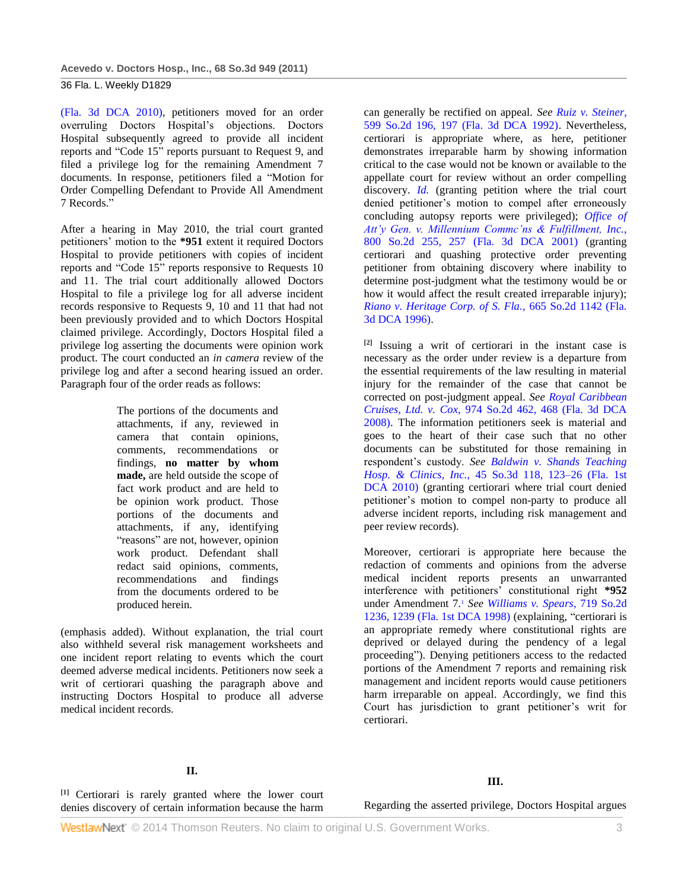[\(Fla. 3d DCA 2010\),](http://www.westlaw.com/Link/Document/FullText?findType=Y&serNum=2021324242&pubNum=3926&originationContext=document&vr=3.0&rs=cblt1.0&transitionType=DocumentItem&contextData=(sc.Default)) petitioners moved for an order overruling Doctors Hospital's objections. Doctors Hospital subsequently agreed to provide all incident reports and "Code 15" reports pursuant to Request 9, and filed a privilege log for the remaining Amendment 7 documents. In response, petitioners filed a "Motion for Order Compelling Defendant to Provide All Amendment 7 Records."

After a hearing in May 2010, the trial court granted petitioners' motion to the **\*951** extent it required Doctors Hospital to provide petitioners with copies of incident reports and "Code 15" reports responsive to Requests 10 and 11. The trial court additionally allowed Doctors Hospital to file a privilege log for all adverse incident records responsive to Requests 9, 10 and 11 that had not been previously provided and to which Doctors Hospital claimed privilege. Accordingly, Doctors Hospital filed a privilege log asserting the documents were opinion work product. The court conducted an *in camera* review of the privilege log and after a second hearing issued an order. Paragraph four of the order reads as follows:

> The portions of the documents and attachments, if any, reviewed in camera that contain opinions, comments, recommendations or findings, **no matter by whom made,** are held outside the scope of fact work product and are held to be opinion work product. Those portions of the documents and attachments, if any, identifying "reasons" are not, however, opinion work product. Defendant shall redact said opinions, comments, recommendations and findings from the documents ordered to be produced herein.

(emphasis added). Without explanation, the trial court also withheld several risk management worksheets and one incident report relating to events which the court deemed adverse medical incidents. Petitioners now seek a writ of certiorari quashing the paragraph above and instructing Doctors Hospital to produce all adverse medical incident records.

can generally be rectified on appeal. *See [Ruiz v. Steiner,](http://www.westlaw.com/Link/Document/FullText?findType=Y&serNum=1992085978&pubNum=735&fi=co_pp_sp_735_197&originationContext=document&vr=3.0&rs=cblt1.0&transitionType=DocumentItem&contextData=(sc.Default)#co_pp_sp_735_197)* [599 So.2d 196, 197 \(Fla. 3d DCA 1992\).](http://www.westlaw.com/Link/Document/FullText?findType=Y&serNum=1992085978&pubNum=735&fi=co_pp_sp_735_197&originationContext=document&vr=3.0&rs=cblt1.0&transitionType=DocumentItem&contextData=(sc.Default)#co_pp_sp_735_197) Nevertheless, certiorari is appropriate where, as here, petitioner demonstrates irreparable harm by showing information critical to the case would not be known or available to the appellate court for review without an order compelling discovery. *[Id.](http://www.westlaw.com/Link/Document/FullText?findType=Y&serNum=1992085978&originationContext=document&vr=3.0&rs=cblt1.0&transitionType=DocumentItem&contextData=(sc.Default))* (granting petition where the trial court denied petitioner's motion to compel after erroneously concluding autopsy reports were privileged); *[Office of](http://www.westlaw.com/Link/Document/FullText?findType=Y&serNum=2001863437&pubNum=735&fi=co_pp_sp_735_257&originationContext=document&vr=3.0&rs=cblt1.0&transitionType=DocumentItem&contextData=(sc.Default)#co_pp_sp_735_257)  [Att'y Gen. v. Millennium Commc'ns & Fulfillment, Inc.,](http://www.westlaw.com/Link/Document/FullText?findType=Y&serNum=2001863437&pubNum=735&fi=co_pp_sp_735_257&originationContext=document&vr=3.0&rs=cblt1.0&transitionType=DocumentItem&contextData=(sc.Default)#co_pp_sp_735_257)* [800 So.2d 255, 257 \(Fla. 3d DCA 2001\)](http://www.westlaw.com/Link/Document/FullText?findType=Y&serNum=2001863437&pubNum=735&fi=co_pp_sp_735_257&originationContext=document&vr=3.0&rs=cblt1.0&transitionType=DocumentItem&contextData=(sc.Default)#co_pp_sp_735_257) (granting certiorari and quashing protective order preventing petitioner from obtaining discovery where inability to determine post-judgment what the testimony would be or how it would affect the result created irreparable injury); *[Riano v. Heritage Corp. of S. Fla.,](http://www.westlaw.com/Link/Document/FullText?findType=Y&serNum=1996027242&pubNum=735&originationContext=document&vr=3.0&rs=cblt1.0&transitionType=DocumentItem&contextData=(sc.Default))* 665 So.2d 1142 (Fla. [3d DCA 1996\).](http://www.westlaw.com/Link/Document/FullText?findType=Y&serNum=1996027242&pubNum=735&originationContext=document&vr=3.0&rs=cblt1.0&transitionType=DocumentItem&contextData=(sc.Default))

**[2]** Issuing a writ of certiorari in the instant case is necessary as the order under review is a departure from the essential requirements of the law resulting in material injury for the remainder of the case that cannot be corrected on post-judgment appeal. *See [Royal Caribbean](http://www.westlaw.com/Link/Document/FullText?findType=Y&serNum=2014822937&pubNum=735&fi=co_pp_sp_735_468&originationContext=document&vr=3.0&rs=cblt1.0&transitionType=DocumentItem&contextData=(sc.Default)#co_pp_sp_735_468)  Cruises, Ltd. v. Cox,* [974 So.2d 462, 468 \(Fla. 3d DCA](http://www.westlaw.com/Link/Document/FullText?findType=Y&serNum=2014822937&pubNum=735&fi=co_pp_sp_735_468&originationContext=document&vr=3.0&rs=cblt1.0&transitionType=DocumentItem&contextData=(sc.Default)#co_pp_sp_735_468)  [2008\).](http://www.westlaw.com/Link/Document/FullText?findType=Y&serNum=2014822937&pubNum=735&fi=co_pp_sp_735_468&originationContext=document&vr=3.0&rs=cblt1.0&transitionType=DocumentItem&contextData=(sc.Default)#co_pp_sp_735_468) The information petitioners seek is material and goes to the heart of their case such that no other documents can be substituted for those remaining in respondent's custody. *See [Baldwin v. Shands Teaching](http://www.westlaw.com/Link/Document/FullText?findType=Y&serNum=2023136747&pubNum=3926&fi=co_pp_sp_3926_123&originationContext=document&vr=3.0&rs=cblt1.0&transitionType=DocumentItem&contextData=(sc.Default)#co_pp_sp_3926_123)  Hosp. & Clinics, Inc.,* [45 So.3d 118, 123–26 \(Fla. 1st](http://www.westlaw.com/Link/Document/FullText?findType=Y&serNum=2023136747&pubNum=3926&fi=co_pp_sp_3926_123&originationContext=document&vr=3.0&rs=cblt1.0&transitionType=DocumentItem&contextData=(sc.Default)#co_pp_sp_3926_123)  [DCA 2010\)](http://www.westlaw.com/Link/Document/FullText?findType=Y&serNum=2023136747&pubNum=3926&fi=co_pp_sp_3926_123&originationContext=document&vr=3.0&rs=cblt1.0&transitionType=DocumentItem&contextData=(sc.Default)#co_pp_sp_3926_123) (granting certiorari where trial court denied petitioner's motion to compel non-party to produce all adverse incident reports, including risk management and peer review records).

Moreover, certiorari is appropriate here because the redaction of comments and opinions from the adverse medical incident reports presents an unwarranted interference with petitioners' constitutional right **\*952** under Amendment 7.<sup>1</sup> *See [Williams v. Spears,](http://www.westlaw.com/Link/Document/FullText?findType=Y&serNum=1998205453&pubNum=735&fi=co_pp_sp_735_1239&originationContext=document&vr=3.0&rs=cblt1.0&transitionType=DocumentItem&contextData=(sc.Default)#co_pp_sp_735_1239)* 719 So.2d [1236, 1239 \(Fla. 1st DCA 1998\)](http://www.westlaw.com/Link/Document/FullText?findType=Y&serNum=1998205453&pubNum=735&fi=co_pp_sp_735_1239&originationContext=document&vr=3.0&rs=cblt1.0&transitionType=DocumentItem&contextData=(sc.Default)#co_pp_sp_735_1239) (explaining, "certiorari is an appropriate remedy where constitutional rights are deprived or delayed during the pendency of a legal proceeding"). Denying petitioners access to the redacted portions of the Amendment 7 reports and remaining risk management and incident reports would cause petitioners harm irreparable on appeal. Accordingly, we find this Court has jurisdiction to grant petitioner's writ for certiorari.

#### **II.**

**[1]** Certiorari is rarely granted where the lower court denies discovery of certain information because the harm

## **III.**

Regarding the asserted privilege, Doctors Hospital argues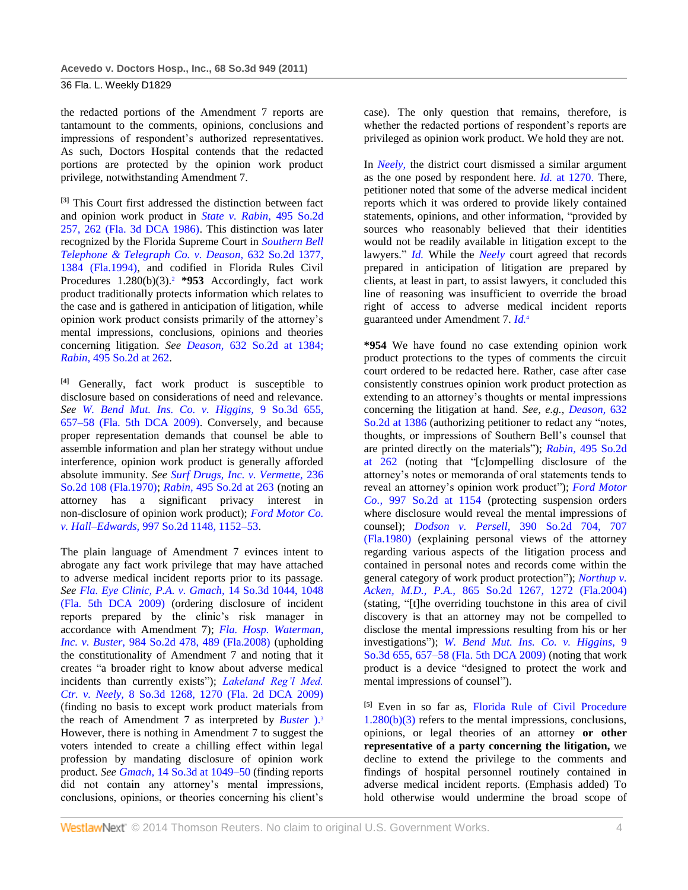the redacted portions of the Amendment 7 reports are tantamount to the comments, opinions, conclusions and impressions of respondent's authorized representatives. As such, Doctors Hospital contends that the redacted portions are protected by the opinion work product privilege, notwithstanding Amendment 7.

**[3]** This Court first addressed the distinction between fact and opinion work product in *[State v. Rabin,](http://www.westlaw.com/Link/Document/FullText?findType=Y&serNum=1986148650&pubNum=735&fi=co_pp_sp_735_262&originationContext=document&vr=3.0&rs=cblt1.0&transitionType=DocumentItem&contextData=(sc.Default)#co_pp_sp_735_262)* 495 So.2d [257, 262 \(Fla. 3d DCA 1986\).](http://www.westlaw.com/Link/Document/FullText?findType=Y&serNum=1986148650&pubNum=735&fi=co_pp_sp_735_262&originationContext=document&vr=3.0&rs=cblt1.0&transitionType=DocumentItem&contextData=(sc.Default)#co_pp_sp_735_262) This distinction was later recognized by the Florida Supreme Court in *[Southern Bell](http://www.westlaw.com/Link/Document/FullText?findType=Y&serNum=1994060924&pubNum=735&fi=co_pp_sp_735_1384&originationContext=document&vr=3.0&rs=cblt1.0&transitionType=DocumentItem&contextData=(sc.Default)#co_pp_sp_735_1384)  [Telephone & Telegraph Co. v. Deason,](http://www.westlaw.com/Link/Document/FullText?findType=Y&serNum=1994060924&pubNum=735&fi=co_pp_sp_735_1384&originationContext=document&vr=3.0&rs=cblt1.0&transitionType=DocumentItem&contextData=(sc.Default)#co_pp_sp_735_1384)* 632 So.2d 1377, [1384 \(Fla.1994\),](http://www.westlaw.com/Link/Document/FullText?findType=Y&serNum=1994060924&pubNum=735&fi=co_pp_sp_735_1384&originationContext=document&vr=3.0&rs=cblt1.0&transitionType=DocumentItem&contextData=(sc.Default)#co_pp_sp_735_1384) and codified in Florida Rules Civil Procedures 1.280(b)(3).<sup>2</sup> \*953 Accordingly, fact work product traditionally protects information which relates to the case and is gathered in anticipation of litigation, while opinion work product consists primarily of the attorney's mental impressions, conclusions, opinions and theories concerning litigation. *See Deason,* [632 So.2d at 1384;](http://www.westlaw.com/Link/Document/FullText?findType=Y&serNum=1994060924&pubNum=735&fi=co_pp_sp_735_1384&originationContext=document&vr=3.0&rs=cblt1.0&transitionType=DocumentItem&contextData=(sc.Default)#co_pp_sp_735_1384) *Rabin,* [495 So.2d at 262.](http://www.westlaw.com/Link/Document/FullText?findType=Y&serNum=1986148650&pubNum=735&fi=co_pp_sp_735_262&originationContext=document&vr=3.0&rs=cblt1.0&transitionType=DocumentItem&contextData=(sc.Default)#co_pp_sp_735_262)

**[4]** Generally, fact work product is susceptible to disclosure based on considerations of need and relevance. *See [W. Bend Mut. Ins. Co. v. Higgins,](http://www.westlaw.com/Link/Document/FullText?findType=Y&serNum=2018483662&pubNum=3926&fi=co_pp_sp_3926_657&originationContext=document&vr=3.0&rs=cblt1.0&transitionType=DocumentItem&contextData=(sc.Default)#co_pp_sp_3926_657)* 9 So.3d 655, [657–58 \(Fla. 5th DCA 2009\).](http://www.westlaw.com/Link/Document/FullText?findType=Y&serNum=2018483662&pubNum=3926&fi=co_pp_sp_3926_657&originationContext=document&vr=3.0&rs=cblt1.0&transitionType=DocumentItem&contextData=(sc.Default)#co_pp_sp_3926_657) Conversely, and because proper representation demands that counsel be able to assemble information and plan her strategy without undue interference, opinion work product is generally afforded absolute immunity. *See [Surf Drugs, Inc. v. Vermette,](http://www.westlaw.com/Link/Document/FullText?findType=Y&serNum=1970141232&pubNum=735&originationContext=document&vr=3.0&rs=cblt1.0&transitionType=DocumentItem&contextData=(sc.Default))* 236 [So.2d 108 \(Fla.1970\);](http://www.westlaw.com/Link/Document/FullText?findType=Y&serNum=1970141232&pubNum=735&originationContext=document&vr=3.0&rs=cblt1.0&transitionType=DocumentItem&contextData=(sc.Default)) *Rabin,* [495 So.2d at 263](http://www.westlaw.com/Link/Document/FullText?findType=Y&serNum=1986148650&pubNum=735&fi=co_pp_sp_735_263&originationContext=document&vr=3.0&rs=cblt1.0&transitionType=DocumentItem&contextData=(sc.Default)#co_pp_sp_735_263) (noting an attorney has a significant privacy interest in non-disclosure of opinion work product); *[Ford Motor Co.](http://www.westlaw.com/Link/Document/FullText?findType=Y&serNum=2017569572&pubNum=735&fi=co_pp_sp_735_1152&originationContext=document&vr=3.0&rs=cblt1.0&transitionType=DocumentItem&contextData=(sc.Default)#co_pp_sp_735_1152)  v. Hall–Edwards,* [997 So.2d 1148, 1152–53.](http://www.westlaw.com/Link/Document/FullText?findType=Y&serNum=2017569572&pubNum=735&fi=co_pp_sp_735_1152&originationContext=document&vr=3.0&rs=cblt1.0&transitionType=DocumentItem&contextData=(sc.Default)#co_pp_sp_735_1152)

The plain language of Amendment 7 evinces intent to abrogate any fact work privilege that may have attached to adverse medical incident reports prior to its passage. *See [Fla. Eye Clinic, P.A. v. Gmach,](http://www.westlaw.com/Link/Document/FullText?findType=Y&serNum=2018932022&pubNum=3926&fi=co_pp_sp_3926_1048&originationContext=document&vr=3.0&rs=cblt1.0&transitionType=DocumentItem&contextData=(sc.Default)#co_pp_sp_3926_1048)* 14 So.3d 1044, 1048 [\(Fla. 5th DCA 2009\)](http://www.westlaw.com/Link/Document/FullText?findType=Y&serNum=2018932022&pubNum=3926&fi=co_pp_sp_3926_1048&originationContext=document&vr=3.0&rs=cblt1.0&transitionType=DocumentItem&contextData=(sc.Default)#co_pp_sp_3926_1048) (ordering disclosure of incident reports prepared by the clinic's risk manager in accordance with Amendment 7); *[Fla. Hosp. Waterman,](http://www.westlaw.com/Link/Document/FullText?findType=Y&serNum=2015411806&pubNum=735&fi=co_pp_sp_735_489&originationContext=document&vr=3.0&rs=cblt1.0&transitionType=DocumentItem&contextData=(sc.Default)#co_pp_sp_735_489)  Inc. v. Buster,* [984 So.2d 478, 489 \(Fla.2008\)](http://www.westlaw.com/Link/Document/FullText?findType=Y&serNum=2015411806&pubNum=735&fi=co_pp_sp_735_489&originationContext=document&vr=3.0&rs=cblt1.0&transitionType=DocumentItem&contextData=(sc.Default)#co_pp_sp_735_489) (upholding the constitutionality of Amendment 7 and noting that it creates "a broader right to know about adverse medical incidents than currently exists"); *[Lakeland Reg'l Med.](http://www.westlaw.com/Link/Document/FullText?findType=Y&serNum=2018790971&pubNum=3926&fi=co_pp_sp_3926_1270&originationContext=document&vr=3.0&rs=cblt1.0&transitionType=DocumentItem&contextData=(sc.Default)#co_pp_sp_3926_1270)  Ctr. v. Neely,* [8 So.3d 1268, 1270 \(Fla. 2d DCA 2009\)](http://www.westlaw.com/Link/Document/FullText?findType=Y&serNum=2018790971&pubNum=3926&fi=co_pp_sp_3926_1270&originationContext=document&vr=3.0&rs=cblt1.0&transitionType=DocumentItem&contextData=(sc.Default)#co_pp_sp_3926_1270) (finding no basis to except work product materials from the reach of Amendment 7 as interpreted by *[Buster](http://www.westlaw.com/Link/Document/FullText?findType=Y&serNum=2015411806&originationContext=document&vr=3.0&rs=cblt1.0&transitionType=DocumentItem&contextData=(sc.Default))* )[.](http://www.westlaw.com/Link/Document/FullText?findType=Y&serNum=2015411806&originationContext=document&vr=3.0&rs=cblt1.0&transitionType=DocumentItem&contextData=(sc.Default))<sup>3</sup> However, there is nothing in Amendment 7 to suggest the voters intended to create a chilling effect within legal profession by mandating disclosure of opinion work product. *See Gmach,* [14 So.3d at 1049–50](http://www.westlaw.com/Link/Document/FullText?findType=Y&serNum=2018932022&pubNum=3926&fi=co_pp_sp_3926_1049&originationContext=document&vr=3.0&rs=cblt1.0&transitionType=DocumentItem&contextData=(sc.Default)#co_pp_sp_3926_1049) (finding reports did not contain any attorney's mental impressions, conclusions, opinions, or theories concerning his client's case). The only question that remains, therefore, is whether the redacted portions of respondent's reports are privileged as opinion work product. We hold they are not.

In *[Neely,](http://www.westlaw.com/Link/Document/FullText?findType=Y&serNum=2018790971&originationContext=document&vr=3.0&rs=cblt1.0&transitionType=DocumentItem&contextData=(sc.Default))* the district court dismissed a similar argument as the one posed by respondent here. *Id.* [at 1270.](http://www.westlaw.com/Link/Document/FullText?findType=Y&serNum=2018790971&originationContext=document&vr=3.0&rs=cblt1.0&transitionType=DocumentItem&contextData=(sc.Default)) There, petitioner noted that some of the adverse medical incident reports which it was ordered to provide likely contained statements, opinions, and other information, "provided by sources who reasonably believed that their identities would not be readily available in litigation except to the lawyers." *[Id.](http://www.westlaw.com/Link/Document/FullText?findType=Y&serNum=2018790971&originationContext=document&vr=3.0&rs=cblt1.0&transitionType=DocumentItem&contextData=(sc.Default))* While the *[Neely](http://www.westlaw.com/Link/Document/FullText?findType=Y&serNum=2018790971&originationContext=document&vr=3.0&rs=cblt1.0&transitionType=DocumentItem&contextData=(sc.Default))* court agreed that records prepared in anticipation of litigation are prepared by clients, at least in part, to assist lawyers, it concluded this line of reasoning was insufficient to override the broad right of access to adverse medical incident reports guaranteed under Amendment 7. *[Id.](http://www.westlaw.com/Link/Document/FullText?findType=Y&serNum=2018790971&originationContext=document&vr=3.0&rs=cblt1.0&transitionType=DocumentItem&contextData=(sc.Default))*<sup>4</sup>

**\*954** We have found no case extending opinion work product protections to the types of comments the circuit court ordered to be redacted here. Rather, case after case consistently construes opinion work product protection as extending to an attorney's thoughts or mental impressions concerning the litigation at hand. *See, e.g., [Deason,](http://www.westlaw.com/Link/Document/FullText?findType=Y&serNum=1994060924&pubNum=735&fi=co_pp_sp_735_1386&originationContext=document&vr=3.0&rs=cblt1.0&transitionType=DocumentItem&contextData=(sc.Default)#co_pp_sp_735_1386)* 632 [So.2d at 1386](http://www.westlaw.com/Link/Document/FullText?findType=Y&serNum=1994060924&pubNum=735&fi=co_pp_sp_735_1386&originationContext=document&vr=3.0&rs=cblt1.0&transitionType=DocumentItem&contextData=(sc.Default)#co_pp_sp_735_1386) (authorizing petitioner to redact any "notes, thoughts, or impressions of Southern Bell's counsel that are printed directly on the materials"); *Rabin,* [495 So.2d](http://www.westlaw.com/Link/Document/FullText?findType=Y&serNum=1986148650&pubNum=735&fi=co_pp_sp_735_262&originationContext=document&vr=3.0&rs=cblt1.0&transitionType=DocumentItem&contextData=(sc.Default)#co_pp_sp_735_262)  [at 262](http://www.westlaw.com/Link/Document/FullText?findType=Y&serNum=1986148650&pubNum=735&fi=co_pp_sp_735_262&originationContext=document&vr=3.0&rs=cblt1.0&transitionType=DocumentItem&contextData=(sc.Default)#co_pp_sp_735_262) (noting that "[c]ompelling disclosure of the attorney's notes or memoranda of oral statements tends to reveal an attorney's opinion work product"); *[Ford Motor](http://www.westlaw.com/Link/Document/FullText?findType=Y&serNum=2017569572&pubNum=735&fi=co_pp_sp_735_1154&originationContext=document&vr=3.0&rs=cblt1.0&transitionType=DocumentItem&contextData=(sc.Default)#co_pp_sp_735_1154)  Co.,* [997 So.2d at 1154](http://www.westlaw.com/Link/Document/FullText?findType=Y&serNum=2017569572&pubNum=735&fi=co_pp_sp_735_1154&originationContext=document&vr=3.0&rs=cblt1.0&transitionType=DocumentItem&contextData=(sc.Default)#co_pp_sp_735_1154) (protecting suspension orders where disclosure would reveal the mental impressions of counsel); *Dodson v. Persell,* [390 So.2d 704, 707](http://www.westlaw.com/Link/Document/FullText?findType=Y&serNum=1980147830&pubNum=735&fi=co_pp_sp_735_707&originationContext=document&vr=3.0&rs=cblt1.0&transitionType=DocumentItem&contextData=(sc.Default)#co_pp_sp_735_707)  [\(Fla.1980\)](http://www.westlaw.com/Link/Document/FullText?findType=Y&serNum=1980147830&pubNum=735&fi=co_pp_sp_735_707&originationContext=document&vr=3.0&rs=cblt1.0&transitionType=DocumentItem&contextData=(sc.Default)#co_pp_sp_735_707) (explaining personal views of the attorney regarding various aspects of the litigation process and contained in personal notes and records come within the general category of work product protection"); *[Northup v.](http://www.westlaw.com/Link/Document/FullText?findType=Y&serNum=2004099028&pubNum=735&fi=co_pp_sp_735_1272&originationContext=document&vr=3.0&rs=cblt1.0&transitionType=DocumentItem&contextData=(sc.Default)#co_pp_sp_735_1272)  Acken, M.D., P.A.,* [865 So.2d 1267, 1272 \(Fla.2004\)](http://www.westlaw.com/Link/Document/FullText?findType=Y&serNum=2004099028&pubNum=735&fi=co_pp_sp_735_1272&originationContext=document&vr=3.0&rs=cblt1.0&transitionType=DocumentItem&contextData=(sc.Default)#co_pp_sp_735_1272) (stating, "[t]he overriding touchstone in this area of civil discovery is that an attorney may not be compelled to disclose the mental impressions resulting from his or her investigations"); *[W. Bend Mut. Ins. Co. v. Higgins,](http://www.westlaw.com/Link/Document/FullText?findType=Y&serNum=2018483662&pubNum=3926&fi=co_pp_sp_3926_657&originationContext=document&vr=3.0&rs=cblt1.0&transitionType=DocumentItem&contextData=(sc.Default)#co_pp_sp_3926_657)* 9 [So.3d 655, 657–58 \(Fla. 5th DCA 2009\)](http://www.westlaw.com/Link/Document/FullText?findType=Y&serNum=2018483662&pubNum=3926&fi=co_pp_sp_3926_657&originationContext=document&vr=3.0&rs=cblt1.0&transitionType=DocumentItem&contextData=(sc.Default)#co_pp_sp_3926_657) (noting that work product is a device "designed to protect the work and mental impressions of counsel").

**[5]** Even in so far as, [Florida Rule of Civil Procedure](http://www.westlaw.com/Link/Document/FullText?findType=L&pubNum=1000006&cite=FLSTRCPR1.280&originatingDoc=I6baa9b02c8df11e090e590fe1745b4c9&refType=LQ&originationContext=document&vr=3.0&rs=cblt1.0&transitionType=DocumentItem&contextData=(sc.Default))   $1.280(b)(3)$  refers to the mental impressions, conclusions, opinions, or legal theories of an attorney **or other representative of a party concerning the litigation,** we decline to extend the privilege to the comments and findings of hospital personnel routinely contained in adverse medical incident reports. (Emphasis added) To hold otherwise would undermine the broad scope of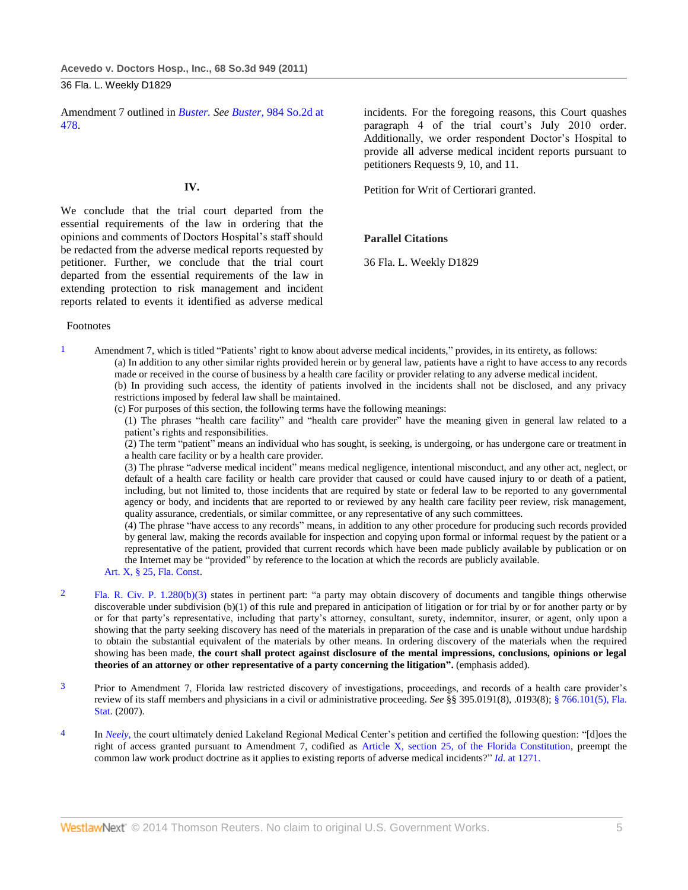Amendment 7 outlined in *[Buster.](http://www.westlaw.com/Link/Document/FullText?findType=Y&serNum=2015411806&originationContext=document&vr=3.0&rs=cblt1.0&transitionType=DocumentItem&contextData=(sc.Default)) See Buster,* [984 So.2d at](http://www.westlaw.com/Link/Document/FullText?findType=Y&serNum=2015411806&pubNum=735&fi=co_pp_sp_735_478&originationContext=document&vr=3.0&rs=cblt1.0&transitionType=DocumentItem&contextData=(sc.Default)#co_pp_sp_735_478)  [478.](http://www.westlaw.com/Link/Document/FullText?findType=Y&serNum=2015411806&pubNum=735&fi=co_pp_sp_735_478&originationContext=document&vr=3.0&rs=cblt1.0&transitionType=DocumentItem&contextData=(sc.Default)#co_pp_sp_735_478)

### **IV.**

We conclude that the trial court departed from the essential requirements of the law in ordering that the opinions and comments of Doctors Hospital's staff should be redacted from the adverse medical reports requested by petitioner. Further, we conclude that the trial court departed from the essential requirements of the law in extending protection to risk management and incident reports related to events it identified as adverse medical

#### Footnotes

1 Amendment 7, which is titled "Patients' right to know about adverse medical incidents," provides, in its entirety, as follows: (a) In addition to any other similar rights provided herein or by general law, patients have a right to have access to any records made or received in the course of business by a health care facility or provider relating to any adverse medical incident. (b) In providing such access, the identity of patients involved in the incidents shall not be disclosed, and any privacy restrictions imposed by federal law shall be maintained.

(c) For purposes of this section, the following terms have the following meanings:

(1) The phrases "health care facility" and "health care provider" have the meaning given in general law related to a patient's rights and responsibilities.

(2) The term "patient" means an individual who has sought, is seeking, is undergoing, or has undergone care or treatment in a health care facility or by a health care provider.

(3) The phrase "adverse medical incident" means medical negligence, intentional misconduct, and any other act, neglect, or default of a health care facility or health care provider that caused or could have caused injury to or death of a patient, including, but not limited to, those incidents that are required by state or federal law to be reported to any governmental agency or body, and incidents that are reported to or reviewed by any health care facility peer review, risk management, quality assurance, credentials, or similar committee, or any representative of any such committees.

(4) The phrase "have access to any records" means, in addition to any other procedure for producing such records provided by general law, making the records available for inspection and copying upon formal or informal request by the patient or a representative of the patient, provided that current records which have been made publicly available by publication or on the Internet may be "provided" by reference to the location at which the records are publicly available.

- [Art. X, § 25, Fla. Const.](http://www.westlaw.com/Link/Document/FullText?findType=L&pubNum=1000006&cite=FLCNART10S25&originatingDoc=I6baa9b02c8df11e090e590fe1745b4c9&refType=LQ&originationContext=document&vr=3.0&rs=cblt1.0&transitionType=DocumentItem&contextData=(sc.Default))
- 2 [Fla. R. Civ. P. 1.280\(b\)\(3\)](http://www.westlaw.com/Link/Document/FullText?findType=L&pubNum=1000006&cite=FLSTRCPR1.280&originatingDoc=I6baa9b02c8df11e090e590fe1745b4c9&refType=LQ&originationContext=document&vr=3.0&rs=cblt1.0&transitionType=DocumentItem&contextData=(sc.Default)) states in pertinent part: "a party may obtain discovery of documents and tangible things otherwise discoverable under subdivision (b)(1) of this rule and prepared in anticipation of litigation or for trial by or for another party or by or for that party's representative, including that party's attorney, consultant, surety, indemnitor, insurer, or agent, only upon a showing that the party seeking discovery has need of the materials in preparation of the case and is unable without undue hardship to obtain the substantial equivalent of the materials by other means. In ordering discovery of the materials when the required showing has been made, **the court shall protect against disclosure of the mental impressions, conclusions, opinions or legal theories of an attorney or other representative of a party concerning the litigation".** (emphasis added).
- 3 Prior to Amendment 7, Florida law restricted discovery of investigations, proceedings, and records of a health care provider's review of its staff members and physicians in a civil or administrative proceeding. *See* §§ 395.0191(8), .0193(8); [§ 766.101\(5\), Fla.](http://www.westlaw.com/Link/Document/FullText?findType=L&pubNum=1000006&cite=FLSTS766.101&originatingDoc=I6baa9b02c8df11e090e590fe1745b4c9&refType=SP&originationContext=document&vr=3.0&rs=cblt1.0&transitionType=DocumentItem&contextData=(sc.Default)#co_pp_362c000048fd7)  [Stat.](http://www.westlaw.com/Link/Document/FullText?findType=L&pubNum=1000006&cite=FLSTS766.101&originatingDoc=I6baa9b02c8df11e090e590fe1745b4c9&refType=SP&originationContext=document&vr=3.0&rs=cblt1.0&transitionType=DocumentItem&contextData=(sc.Default)#co_pp_362c000048fd7) (2007).
- <sup>4</sup> In *Neely*, the court ultimately denied Lakeland Regional Medical Center's petition and certified the following question: "[d]oes the right of access granted pursuant to Amendment 7, codified as [Article X, section 25, of the Florida Constitution,](http://www.westlaw.com/Link/Document/FullText?findType=L&pubNum=1000006&cite=FLCNART10S25&originatingDoc=I6baa9b02c8df11e090e590fe1745b4c9&refType=LQ&originationContext=document&vr=3.0&rs=cblt1.0&transitionType=DocumentItem&contextData=(sc.Default)) preempt the common law work product doctrine as it applies to existing reports of adverse medical incidents?" *Id.* [at 1271.](http://www.westlaw.com/Link/Document/FullText?findType=Y&serNum=2018790971&originationContext=document&vr=3.0&rs=cblt1.0&transitionType=DocumentItem&contextData=(sc.Default))

incidents. For the foregoing reasons, this Court quashes paragraph 4 of the trial court's July 2010 order. Additionally, we order respondent Doctor's Hospital to provide all adverse medical incident reports pursuant to petitioners Requests 9, 10, and 11.

Petition for Writ of Certiorari granted.

## **Parallel Citations**

36 Fla. L. Weekly D1829